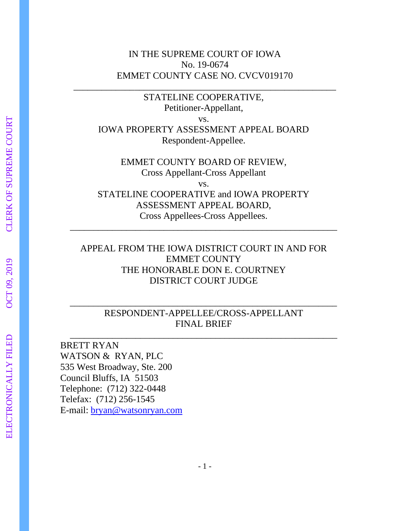### IN THE SUPREME COURT OF IOWA No. 19-0674 EMMET COUNTY CASE NO. CVCV019170

\_\_\_\_\_\_\_\_\_\_\_\_\_\_\_\_\_\_\_\_\_\_\_\_\_\_\_\_\_\_\_\_\_\_\_\_\_\_\_\_\_\_\_\_\_\_\_\_\_\_\_\_\_\_\_\_

STATELINE COOPERATIVE, Petitioner-Appellant, vs. IOWA PROPERTY ASSESSMENT APPEAL BOARD Respondent-Appellee.

EMMET COUNTY BOARD OF REVIEW, Cross Appellant-Cross Appellant vs. STATELINE COOPERATIVE and IOWA PROPERTY ASSESSMENT APPEAL BOARD, Cross Appellees-Cross Appellees.

\_\_\_\_\_\_\_\_\_\_\_\_\_\_\_\_\_\_\_\_\_\_\_\_\_\_\_\_\_\_\_\_\_\_\_\_\_\_\_\_\_\_\_\_\_\_\_\_\_\_\_\_\_\_\_\_\_

# APPEAL FROM THE IOWA DISTRICT COURT IN AND FOR EMMET COUNTY THE HONORABLE DON E. COURTNEY DISTRICT COURT JUDGE

## RESPONDENT-APPELLEE/CROSS-APPELLANT FINAL BRIEF

\_\_\_\_\_\_\_\_\_\_\_\_\_\_\_\_\_\_\_\_\_\_\_\_\_\_\_\_\_\_\_\_\_\_\_\_\_\_\_\_\_\_\_\_\_\_\_\_\_\_\_\_\_\_\_\_\_

\_\_\_\_\_\_\_\_\_\_\_\_\_\_\_\_\_\_\_\_\_\_\_\_\_\_\_\_\_\_\_\_\_\_\_\_\_\_\_\_\_\_\_\_\_\_\_\_\_\_\_\_\_\_\_\_\_

BRETT RYAN WATSON & RYAN, PLC 535 West Broadway, Ste. 200 Council Bluffs, IA 51503 Telephone: (712) 322-0448 Telefax: (712) 256-1545 E-mail: [bryan@watsonryan.com](mailto:bryan@watsonryan.com)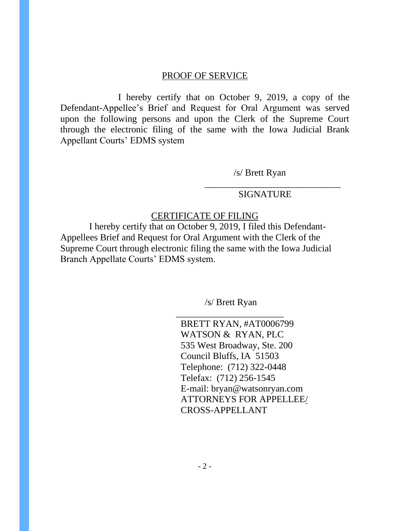### PROOF OF SERVICE

I hereby certify that on October 9, 2019, a copy of the Defendant-Appellee's Brief and Request for Oral Argument was served upon the following persons and upon the Clerk of the Supreme Court through the electronic filing of the same with the Iowa Judicial Brank Appellant Courts' EDMS system

/s/ Brett Ryan

### SIGNATURE

\_\_\_\_\_\_\_\_\_\_\_\_\_\_\_\_\_\_\_\_\_\_\_\_\_\_\_\_\_

### CERTIFICATE OF FILING

I hereby certify that on October 9, 2019, I filed this Defendant-Appellees Brief and Request for Oral Argument with the Clerk of the Supreme Court through electronic filing the same with the Iowa Judicial Branch Appellate Courts' EDMS system.

/s/ Brett Ryan

\_\_\_\_\_\_\_\_\_\_\_\_\_\_\_\_\_\_\_\_\_\_\_ BRETT RYAN, #AT0006799 WATSON & RYAN, PLC 535 West Broadway, Ste. 200 Council Bluffs, IA 51503 Telephone: (712) 322-0448 Telefax: (712) 256-1545 E-mail: bryan@watsonryan.com ATTORNEYS FOR APPELLEE/ CROSS-APPELLANT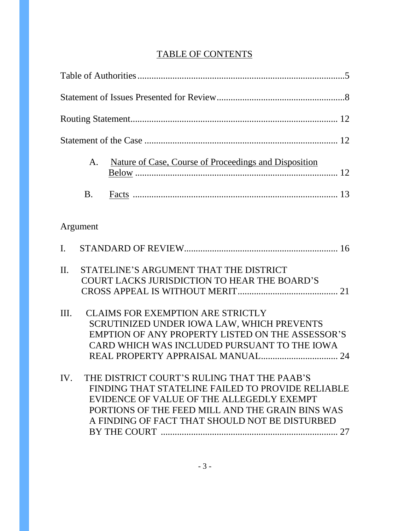# TABLE OF CONTENTS

| Nature of Case, Course of Proceedings and Disposition<br>A.                                                                                                                                                                                                |
|------------------------------------------------------------------------------------------------------------------------------------------------------------------------------------------------------------------------------------------------------------|
| <b>B.</b>                                                                                                                                                                                                                                                  |
| Argument                                                                                                                                                                                                                                                   |
| $\mathbf{I}$ .                                                                                                                                                                                                                                             |
| STATELINE'S ARGUMENT THAT THE DISTRICT<br>$\mathbf{u}$ .<br>COURT LACKS JURISDICTION TO HEAR THE BOARD'S                                                                                                                                                   |
| <b>CLAIMS FOR EXEMPTION ARE STRICTLY</b><br>Ш.<br>SCRUTINIZED UNDER IOWA LAW, WHICH PREVENTS<br>EMPTION OF ANY PROPERTY LISTED ON THE ASSESSOR'S<br>CARD WHICH WAS INCLUDED PURSUANT TO THE IOWA                                                           |
| THE DISTRICT COURT'S RULING THAT THE PAAB'S<br>IV.<br>FINDING THAT STATELINE FAILED TO PROVIDE RELIABLE<br>EVIDENCE OF VALUE OF THE ALLEGEDLY EXEMPT<br>PORTIONS OF THE FEED MILL AND THE GRAIN BINS WAS<br>A FINDING OF FACT THAT SHOULD NOT BE DISTURBED |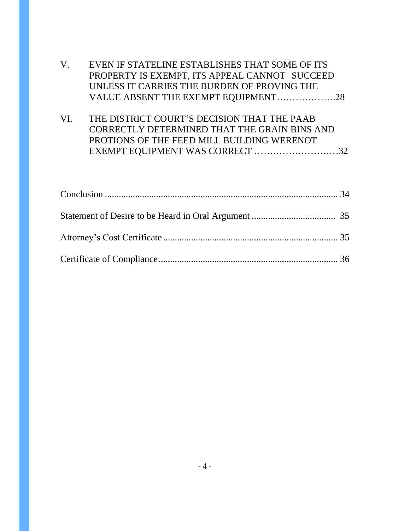|     | EVEN IF STATELINE ESTABLISHES THAT SOME OF ITS |
|-----|------------------------------------------------|
|     | PROPERTY IS EXEMPT, ITS APPEAL CANNOT SUCCEED  |
|     | UNLESS IT CARRIES THE BURDEN OF PROVING THE    |
|     | VALUE ABSENT THE EXEMPT EQUIPMENT28            |
|     |                                                |
| VI. | THE DISTRICT COURT'S DECISION THAT THE PAAB    |
|     | CORRECTLY DETERMINED THAT THE GRAIN BINS AND   |
|     | PROTIONS OF THE FEED MILL BUILDING WERENOT     |
|     | EXEMPT EQUIPMENT WAS CORRECT 32                |
|     |                                                |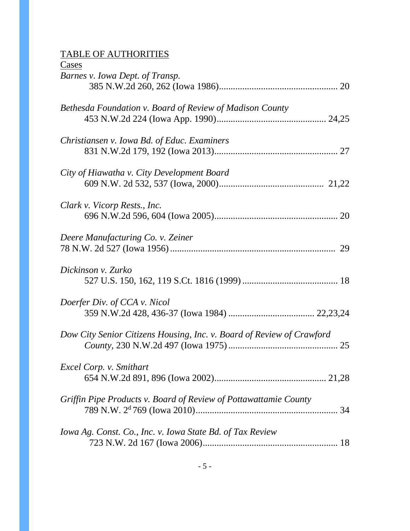### TABLE OF AUTHORITIES

| Cases                                                                 |
|-----------------------------------------------------------------------|
| Barnes v. Iowa Dept. of Transp.                                       |
|                                                                       |
| Bethesda Foundation v. Board of Review of Madison County              |
|                                                                       |
| Christiansen v. Iowa Bd. of Educ. Examiners                           |
|                                                                       |
| City of Hiawatha v. City Development Board                            |
|                                                                       |
| Clark v. Vicorp Rests., Inc.                                          |
|                                                                       |
| Deere Manufacturing Co. v. Zeiner                                     |
|                                                                       |
| Dickinson v. Zurko                                                    |
|                                                                       |
| Doerfer Div. of CCA v. Nicol                                          |
|                                                                       |
| Dow City Senior Citizens Housing, Inc. v. Board of Review of Crawford |
|                                                                       |
| Excel Corp. v. Smithart                                               |
|                                                                       |
| Griffin Pipe Products v. Board of Review of Pottawattamie County      |
| 34                                                                    |
| Iowa Ag. Const. Co., Inc. v. Iowa State Bd. of Tax Review             |
|                                                                       |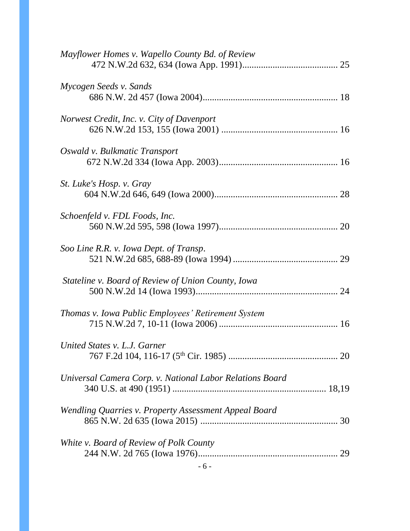| Mayflower Homes v. Wapello County Bd. of Review          |  |
|----------------------------------------------------------|--|
| Mycogen Seeds v. Sands                                   |  |
| Norwest Credit, Inc. v. City of Davenport                |  |
| Oswald v. Bulkmatic Transport                            |  |
| St. Luke's Hosp. v. Gray                                 |  |
| Schoenfeld v. FDL Foods, Inc.                            |  |
| Soo Line R.R. v. Iowa Dept. of Transp.                   |  |
| Stateline v. Board of Review of Union County, Iowa       |  |
| Thomas v. Iowa Public Employees' Retirement System       |  |
| United States v. L.J. Garner                             |  |
| Universal Camera Corp. v. National Labor Relations Board |  |
| Wendling Quarries v. Property Assessment Appeal Board    |  |
| White v. Board of Review of Polk County                  |  |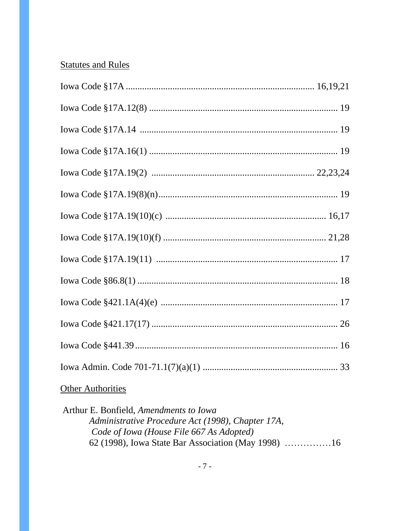# **Statutes and Rules**

# **Other Authorities**

Arthur E. Bonfield, Amendments to Iowa Administrative Procedure Act (1998), Chapter 17A, Code of Iowa (House File 667 As Adopted) 62 (1998), Iowa State Bar Association (May 1998) ................16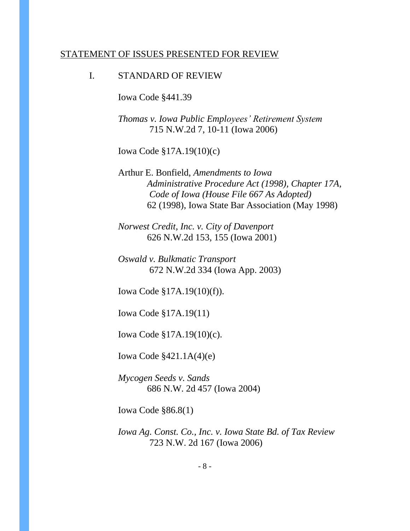#### STATEMENT OF ISSUES PRESENTED FOR REVIEW

### I. STANDARD OF REVIEW

Iowa Code §441.39

*Thomas v. Iowa Public Employees' Retirement System* 715 N.W.2d 7, 10-11 (Iowa 2006)

Iowa Code §17A.19(10)(c)

Arthur E. Bonfield, *Amendments to Iowa Administrative Procedure Act (1998), Chapter 17A, Code of Iowa (House File 667 As Adopted)* 62 (1998), Iowa State Bar Association (May 1998)

*Norwest Credit, Inc. v. City of Davenport* 626 N.W.2d 153, 155 (Iowa 2001)

*Oswald v. Bulkmatic Transport* 672 N.W.2d 334 (Iowa App. 2003)

Iowa Code §17A.19(10)(f)).

Iowa Code §17A.19(11)

Iowa Code §17A.19(10)(c).

Iowa Code §421.1A(4)(e)

*Mycogen Seeds v. Sands* 686 N.W. 2d 457 (Iowa 2004)

Iowa Code §86.8(1)

*Iowa Ag. Const. Co., Inc. v. Iowa State Bd. of Tax Review* 723 N.W. 2d 167 (Iowa 2006)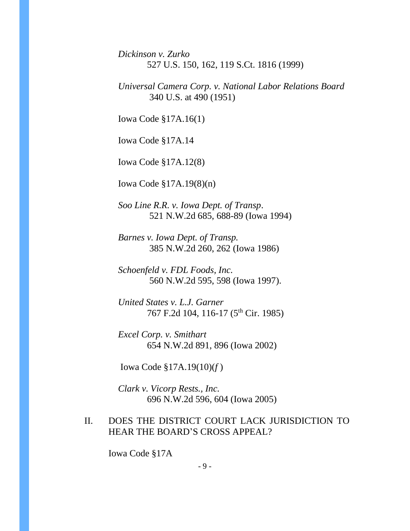*Dickinson v. Zurko* 527 U.S. 150, 162, 119 S.Ct. 1816 (1999)

*Universal Camera Corp. v. National Labor Relations Board* 340 U.S. at 490 (1951)

Iowa Code §17A.16(1)

Iowa Code §17A.14

Iowa Code §17A.12(8)

Iowa Code §17A.19(8)(n)

*Soo Line R.R. v. Iowa Dept. of Transp*. 521 N.W.2d 685, 688-89 (Iowa 1994)

*Barnes v. Iowa Dept. of Transp.* 385 N.W.2d 260, 262 (Iowa 1986)

*Schoenfeld v. FDL Foods, Inc.* 560 N.W.2d 595, 598 (Iowa 1997).

*United States v. L.J. Garner* 767 F.2d 104, 116-17 (5<sup>th</sup> Cir. 1985)

*Excel Corp. v. Smithart* 654 N.W.2d 891, 896 (Iowa 2002)

Iowa Code §17A.19(10)(*f* )

*Clark v. Vicorp Rests., Inc.* 696 N.W.2d 596, 604 (Iowa 2005)

## II. DOES THE DISTRICT COURT LACK JURISDICTION TO HEAR THE BOARD'S CROSS APPEAL?

Iowa Code §17A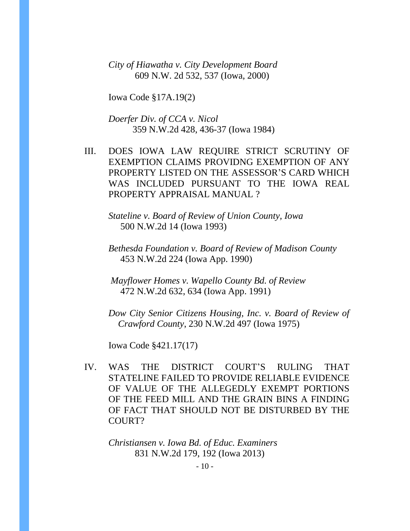*City of Hiawatha v. City Development Board* 609 N.W. 2d 532, 537 (Iowa, 2000)

Iowa Code §17A.19(2)

*Doerfer Div. of CCA v. Nicol* 359 N.W.2d 428, 436-37 (Iowa 1984)

III. DOES IOWA LAW REQUIRE STRICT SCRUTINY OF EXEMPTION CLAIMS PROVIDNG EXEMPTION OF ANY PROPERTY LISTED ON THE ASSESSOR'S CARD WHICH WAS INCLUDED PURSUANT TO THE IOWA REAL PROPERTY APPRAISAL MANUAL ?

*Stateline v. Board of Review of Union County, Iowa* 500 N.W.2d 14 (Iowa 1993)

*Bethesda Foundation v. Board of Review of Madison County* 453 N.W.2d 224 (Iowa App. 1990)

*Mayflower Homes v. Wapello County Bd. of Review* 472 N.W.2d 632, 634 (Iowa App. 1991)

*Dow City Senior Citizens Housing, Inc. v. Board of Review of Crawford County*, 230 N.W.2d 497 (Iowa 1975)

Iowa Code §421.17(17)

IV. WAS THE DISTRICT COURT'S RULING THAT STATELINE FAILED TO PROVIDE RELIABLE EVIDENCE OF VALUE OF THE ALLEGEDLY EXEMPT PORTIONS OF THE FEED MILL AND THE GRAIN BINS A FINDING OF FACT THAT SHOULD NOT BE DISTURBED BY THE COURT?

*Christiansen v. Iowa Bd. of Educ. Examiners* 831 N.W.2d 179, 192 (Iowa 2013)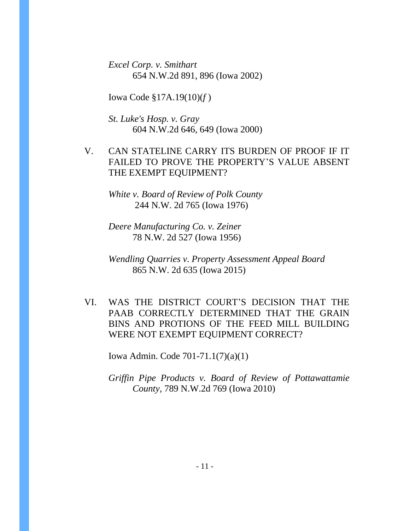*Excel Corp. v. Smithart* 654 N.W.2d 891, 896 (Iowa 2002)

Iowa Code §17A.19(10)(*f* )

*St. Luke's Hosp. v. Gray* 604 N.W.2d 646, 649 (Iowa 2000)

V. CAN STATELINE CARRY ITS BURDEN OF PROOF IF IT FAILED TO PROVE THE PROPERTY'S VALUE ABSENT THE EXEMPT EQUIPMENT?

*White v. Board of Review of Polk County* 244 N.W. 2d 765 (Iowa 1976)

*Deere Manufacturing Co. v. Zeiner* 78 N.W. 2d 527 (Iowa 1956)

*Wendling Quarries v. Property Assessment Appeal Board* 865 N.W. 2d 635 (Iowa 2015)

VI. WAS THE DISTRICT COURT'S DECISION THAT THE PAAB CORRECTLY DETERMINED THAT THE GRAIN BINS AND PROTIONS OF THE FEED MILL BUILDING WERE NOT EXEMPT EQUIPMENT CORRECT?

Iowa Admin. Code 701-71.1(7)(a)(1)

*Griffin Pipe Products v. Board of Review of Pottawattamie County,* 789 N.W.2d 769 (Iowa 2010)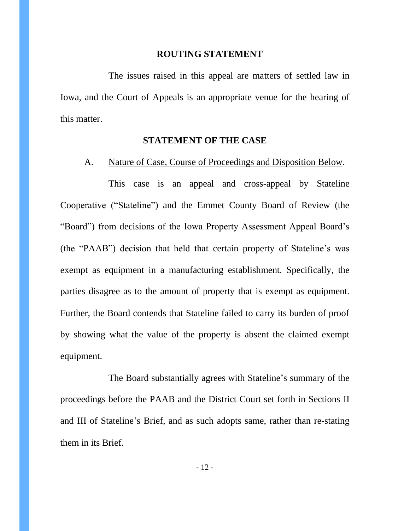#### **ROUTING STATEMENT**

The issues raised in this appeal are matters of settled law in Iowa, and the Court of Appeals is an appropriate venue for the hearing of this matter.

#### **STATEMENT OF THE CASE**

#### A. Nature of Case, Course of Proceedings and Disposition Below.

This case is an appeal and cross-appeal by Stateline Cooperative ("Stateline") and the Emmet County Board of Review (the "Board") from decisions of the Iowa Property Assessment Appeal Board's (the "PAAB") decision that held that certain property of Stateline's was exempt as equipment in a manufacturing establishment. Specifically, the parties disagree as to the amount of property that is exempt as equipment. Further, the Board contends that Stateline failed to carry its burden of proof by showing what the value of the property is absent the claimed exempt equipment.

The Board substantially agrees with Stateline's summary of the proceedings before the PAAB and the District Court set forth in Sections II and III of Stateline's Brief, and as such adopts same, rather than re-stating them in its Brief.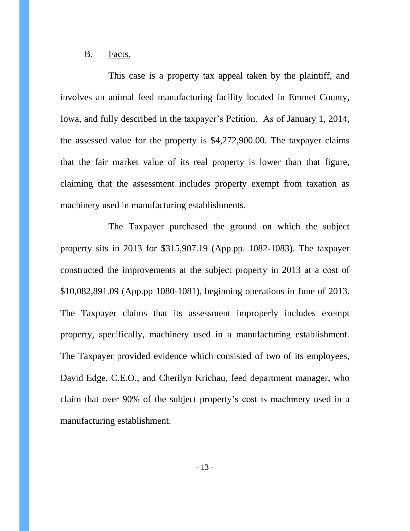### B. Facts.

This case is a property tax appeal taken by the plaintiff, and involves an animal feed manufacturing facility located in Emmet County, Iowa, and fully described in the taxpayer's Petition. As of January 1, 2014, the assessed value for the property is \$4,272,900.00. The taxpayer claims that the fair market value of its real property is lower than that figure, claiming that the assessment includes property exempt from taxation as machinery used in manufacturing establishments.

The Taxpayer purchased the ground on which the subject property sits in 2013 for \$315,907.19 (App.pp. 1082-1083). The taxpayer constructed the improvements at the subject property in 2013 at a cost of \$10,082,891.09 (App.pp 1080-1081), beginning operations in June of 2013. The Taxpayer claims that its assessment improperly includes exempt property, specifically, machinery used in a manufacturing establishment. The Taxpayer provided evidence which consisted of two of its employees, David Edge, C.E.O., and Cherilyn Krichau, feed department manager, who claim that over 90% of the subject property's cost is machinery used in a manufacturing establishment.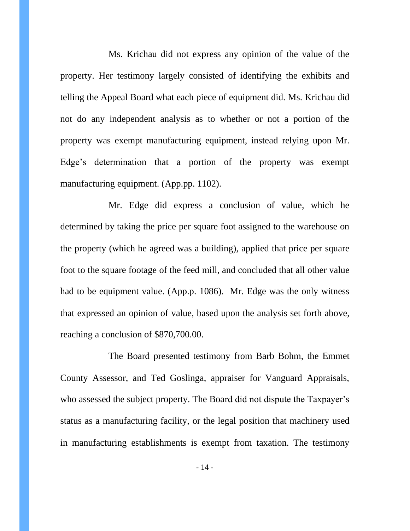Ms. Krichau did not express any opinion of the value of the property. Her testimony largely consisted of identifying the exhibits and telling the Appeal Board what each piece of equipment did. Ms. Krichau did not do any independent analysis as to whether or not a portion of the property was exempt manufacturing equipment, instead relying upon Mr. Edge's determination that a portion of the property was exempt manufacturing equipment. (App.pp. 1102).

Mr. Edge did express a conclusion of value, which he determined by taking the price per square foot assigned to the warehouse on the property (which he agreed was a building), applied that price per square foot to the square footage of the feed mill, and concluded that all other value had to be equipment value. (App.p. 1086). Mr. Edge was the only witness that expressed an opinion of value, based upon the analysis set forth above, reaching a conclusion of \$870,700.00.

The Board presented testimony from Barb Bohm, the Emmet County Assessor, and Ted Goslinga, appraiser for Vanguard Appraisals, who assessed the subject property. The Board did not dispute the Taxpayer's status as a manufacturing facility, or the legal position that machinery used in manufacturing establishments is exempt from taxation. The testimony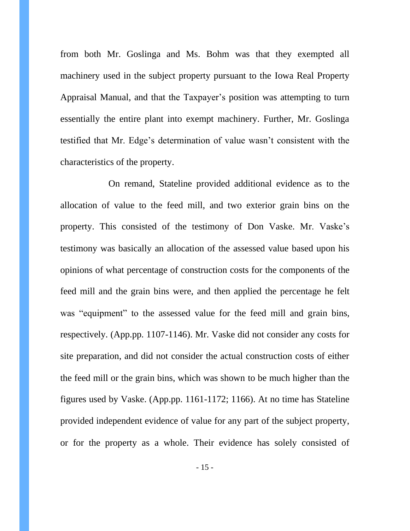from both Mr. Goslinga and Ms. Bohm was that they exempted all machinery used in the subject property pursuant to the Iowa Real Property Appraisal Manual, and that the Taxpayer's position was attempting to turn essentially the entire plant into exempt machinery. Further, Mr. Goslinga testified that Mr. Edge's determination of value wasn't consistent with the characteristics of the property.

On remand, Stateline provided additional evidence as to the allocation of value to the feed mill, and two exterior grain bins on the property. This consisted of the testimony of Don Vaske. Mr. Vaske's testimony was basically an allocation of the assessed value based upon his opinions of what percentage of construction costs for the components of the feed mill and the grain bins were, and then applied the percentage he felt was "equipment" to the assessed value for the feed mill and grain bins, respectively. (App.pp. 1107-1146). Mr. Vaske did not consider any costs for site preparation, and did not consider the actual construction costs of either the feed mill or the grain bins, which was shown to be much higher than the figures used by Vaske. (App.pp. 1161-1172; 1166). At no time has Stateline provided independent evidence of value for any part of the subject property, or for the property as a whole. Their evidence has solely consisted of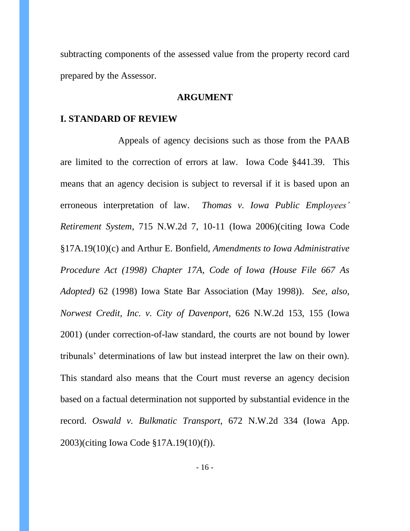subtracting components of the assessed value from the property record card prepared by the Assessor.

### **ARGUMENT**

#### **I. STANDARD OF REVIEW**

Appeals of agency decisions such as those from the PAAB are limited to the correction of errors at law. Iowa Code §441.39. This means that an agency decision is subject to reversal if it is based upon an erroneous interpretation of law. *Thomas v. Iowa Public Employees' Retirement System*, 715 N.W.2d 7, 10-11 (Iowa 2006)(citing Iowa Code §17A.19(10)(c) and Arthur E. Bonfield, *Amendments to Iowa Administrative Procedure Act (1998) Chapter 17A, Code of Iowa (House File 667 As Adopted)* 62 (1998) Iowa State Bar Association (May 1998)). *See, also, Norwest Credit, Inc. v. City of Davenport*, 626 N.W.2d 153, 155 (Iowa 2001) (under correction-of-law standard, the courts are not bound by lower tribunals' determinations of law but instead interpret the law on their own). This standard also means that the Court must reverse an agency decision based on a factual determination not supported by substantial evidence in the record. *Oswald v. Bulkmatic Transport*, 672 N.W.2d 334 (Iowa App. 2003)(citing Iowa Code §17A.19(10)(f)).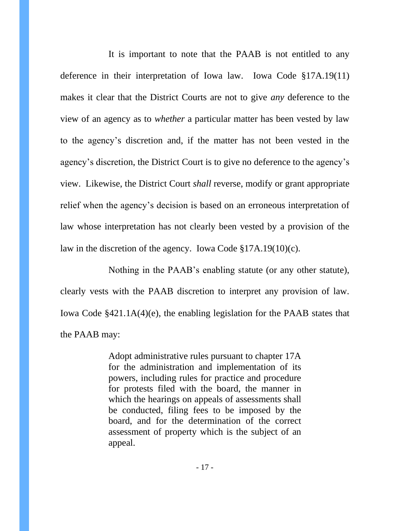It is important to note that the PAAB is not entitled to any deference in their interpretation of Iowa law. Iowa Code §17A.19(11) makes it clear that the District Courts are not to give *any* deference to the view of an agency as to *whether* a particular matter has been vested by law to the agency's discretion and, if the matter has not been vested in the agency's discretion, the District Court is to give no deference to the agency's view. Likewise, the District Court *shall* reverse, modify or grant appropriate relief when the agency's decision is based on an erroneous interpretation of law whose interpretation has not clearly been vested by a provision of the law in the discretion of the agency. Iowa Code §17A.19(10)(c).

Nothing in the PAAB's enabling statute (or any other statute), clearly vests with the PAAB discretion to interpret any provision of law. Iowa Code §421.1A(4)(e), the enabling legislation for the PAAB states that the PAAB may:

> Adopt administrative rules pursuant to chapter 17A for the administration and implementation of its powers, including rules for practice and procedure for protests filed with the board, the manner in which the hearings on appeals of assessments shall be conducted, filing fees to be imposed by the board, and for the determination of the correct assessment of property which is the subject of an appeal.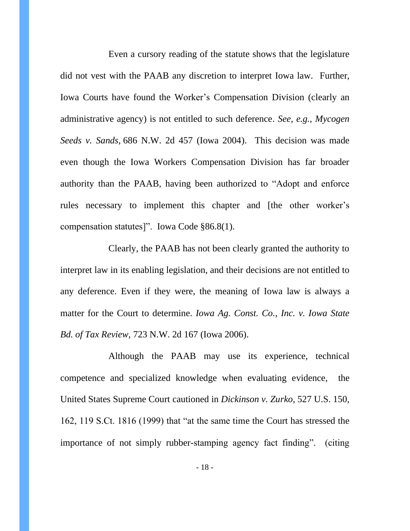Even a cursory reading of the statute shows that the legislature did not vest with the PAAB any discretion to interpret Iowa law. Further, Iowa Courts have found the Worker's Compensation Division (clearly an administrative agency) is not entitled to such deference. *See, e.g., Mycogen Seeds v. Sands,* 686 N.W. 2d 457 (Iowa 2004). This decision was made even though the Iowa Workers Compensation Division has far broader authority than the PAAB, having been authorized to "Adopt and enforce rules necessary to implement this chapter and [the other worker's compensation statutes]". Iowa Code §86.8(1).

Clearly, the PAAB has not been clearly granted the authority to interpret law in its enabling legislation, and their decisions are not entitled to any deference. Even if they were, the meaning of Iowa law is always a matter for the Court to determine. *Iowa Ag. Const. Co., Inc. v. Iowa State Bd. of Tax Review,* 723 N.W. 2d 167 (Iowa 2006).

Although the PAAB may use its experience, technical competence and specialized knowledge when evaluating evidence, the United States Supreme Court cautioned in *Dickinson v. Zurko*, 527 U.S. 150, 162, 119 S.Ct. 1816 (1999) that "at the same time the Court has stressed the importance of not simply rubber-stamping agency fact finding". (citing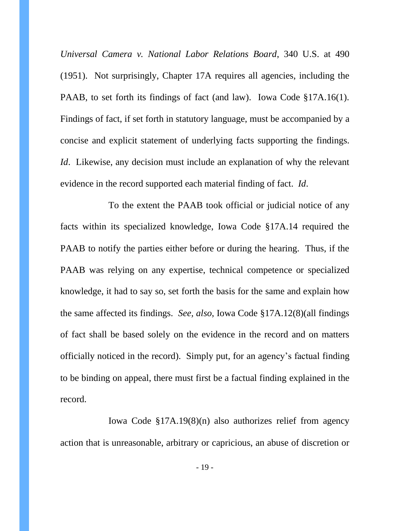*Universal Camera v. National Labor Relations Board*, 340 U.S. at 490 (1951). Not surprisingly, Chapter 17A requires all agencies, including the PAAB, to set forth its findings of fact (and law). Iowa Code §17A.16(1). Findings of fact, if set forth in statutory language, must be accompanied by a concise and explicit statement of underlying facts supporting the findings. *Id.* Likewise, any decision must include an explanation of why the relevant evidence in the record supported each material finding of fact. *Id*.

To the extent the PAAB took official or judicial notice of any facts within its specialized knowledge, Iowa Code §17A.14 required the PAAB to notify the parties either before or during the hearing. Thus, if the PAAB was relying on any expertise, technical competence or specialized knowledge, it had to say so, set forth the basis for the same and explain how the same affected its findings. *See, also*, Iowa Code §17A.12(8)(all findings of fact shall be based solely on the evidence in the record and on matters officially noticed in the record). Simply put, for an agency's factual finding to be binding on appeal, there must first be a factual finding explained in the record.

Iowa Code §17A.19(8)(n) also authorizes relief from agency action that is unreasonable, arbitrary or capricious, an abuse of discretion or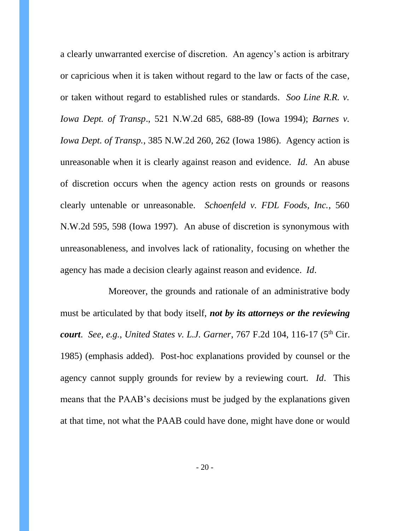a clearly unwarranted exercise of discretion. An agency's action is arbitrary or capricious when it is taken without regard to the law or facts of the case, or taken without regard to established rules or standards. *Soo Line R.R. v. Iowa Dept. of Transp*., 521 N.W.2d 685, 688-89 (Iowa 1994); *Barnes v. Iowa Dept. of Transp.*, 385 N.W.2d 260, 262 (Iowa 1986). Agency action is unreasonable when it is clearly against reason and evidence. *Id*. An abuse of discretion occurs when the agency action rests on grounds or reasons clearly untenable or unreasonable. *Schoenfeld v. FDL Foods, Inc.*, 560 N.W.2d 595, 598 (Iowa 1997). An abuse of discretion is synonymous with unreasonableness, and involves lack of rationality, focusing on whether the agency has made a decision clearly against reason and evidence. *Id*.

Moreover, the grounds and rationale of an administrative body must be articulated by that body itself, *not by its attorneys or the reviewing court. See, e.g., United States v. L.J. Garner, 767 F.2d 104, 116-17 (5<sup>th</sup> Cir.* 1985) (emphasis added). Post-hoc explanations provided by counsel or the agency cannot supply grounds for review by a reviewing court. *Id*. This means that the PAAB's decisions must be judged by the explanations given at that time, not what the PAAB could have done, might have done or would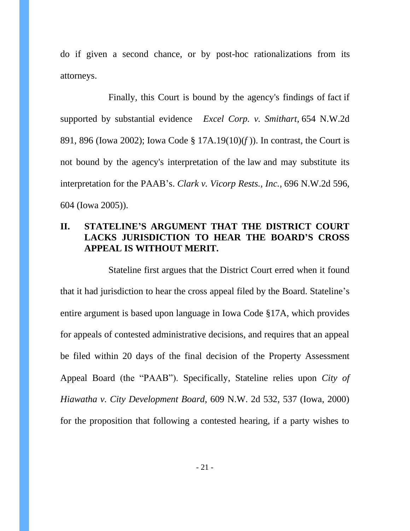do if given a second chance, or by post-hoc rationalizations from its attorneys.

Finally, this Court is bound by the agency's findings of fact if supported by substantial evidence *Excel Corp. v. Smithart,* 654 N.W.2d 891, 896 (Iowa 2002); Iowa Code § 17A.19(10)(*f* )). In contrast, the Court is not bound by the agency's interpretation of the law and may substitute its interpretation for the PAAB's. *Clark v. Vicorp Rests., Inc.,* 696 N.W.2d 596, 604 (Iowa 2005)).

# **II. STATELINE'S ARGUMENT THAT THE DISTRICT COURT LACKS JURISDICTION TO HEAR THE BOARD'S CROSS APPEAL IS WITHOUT MERIT.**

Stateline first argues that the District Court erred when it found that it had jurisdiction to hear the cross appeal filed by the Board. Stateline's entire argument is based upon language in Iowa Code §17A, which provides for appeals of contested administrative decisions, and requires that an appeal be filed within 20 days of the final decision of the Property Assessment Appeal Board (the "PAAB"). Specifically, Stateline relies upon *City of Hiawatha v. City Development Board*, 609 N.W. 2d 532, 537 (Iowa, 2000) for the proposition that following a contested hearing, if a party wishes to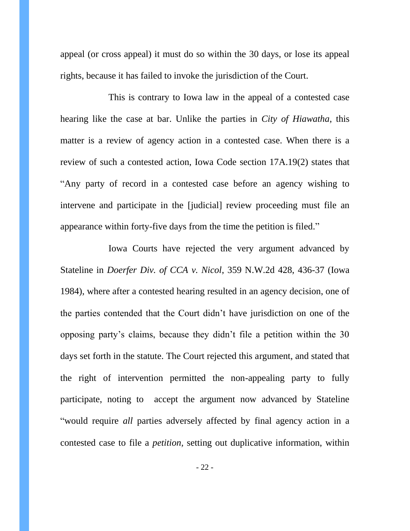appeal (or cross appeal) it must do so within the 30 days, or lose its appeal rights, because it has failed to invoke the jurisdiction of the Court.

This is contrary to Iowa law in the appeal of a contested case hearing like the case at bar. Unlike the parties in *City of Hiawatha*, this matter is a review of agency action in a contested case. When there is a review of such a contested action, Iowa Code section 17A.19(2) states that "Any party of record in a contested case before an agency wishing to intervene and participate in the [judicial] review proceeding must file an appearance within forty-five days from the time the petition is filed."

Iowa Courts have rejected the very argument advanced by Stateline in *Doerfer Div. of CCA v. Nicol*, 359 N.W.2d 428, 436-37 (Iowa 1984), where after a contested hearing resulted in an agency decision, one of the parties contended that the Court didn't have jurisdiction on one of the opposing party's claims, because they didn't file a petition within the 30 days set forth in the statute. The Court rejected this argument, and stated that the right of intervention permitted the non-appealing party to fully participate, noting to accept the argument now advanced by Stateline "would require *all* parties adversely affected by final agency action in a contested case to file a *petition,* setting out duplicative information, within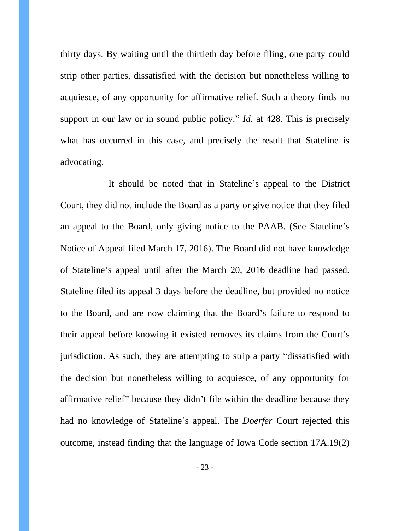thirty days. By waiting until the thirtieth day before filing, one party could strip other parties, dissatisfied with the decision but nonetheless willing to acquiesce, of any opportunity for affirmative relief. Such a theory finds no support in our law or in sound public policy." *Id.* at 428*.* This is precisely what has occurred in this case, and precisely the result that Stateline is advocating.

It should be noted that in Stateline's appeal to the District Court, they did not include the Board as a party or give notice that they filed an appeal to the Board, only giving notice to the PAAB. (See Stateline's Notice of Appeal filed March 17, 2016). The Board did not have knowledge of Stateline's appeal until after the March 20, 2016 deadline had passed. Stateline filed its appeal 3 days before the deadline, but provided no notice to the Board, and are now claiming that the Board's failure to respond to their appeal before knowing it existed removes its claims from the Court's jurisdiction. As such, they are attempting to strip a party "dissatisfied with the decision but nonetheless willing to acquiesce, of any opportunity for affirmative relief" because they didn't file within the deadline because they had no knowledge of Stateline's appeal. The *Doerfer* Court rejected this outcome, instead finding that the language of Iowa Code section 17A.19(2)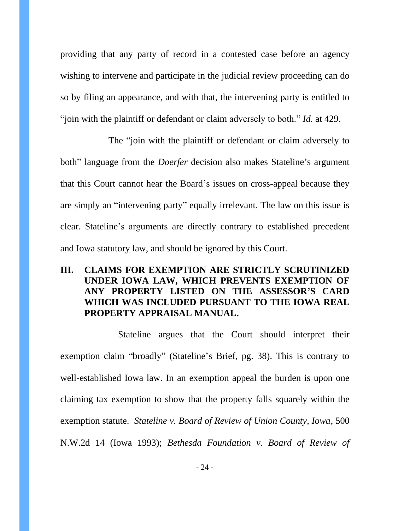providing that any party of record in a contested case before an agency wishing to intervene and participate in the judicial review proceeding can do so by filing an appearance, and with that, the intervening party is entitled to "join with the plaintiff or defendant or claim adversely to both." *Id.* at 429.

The "join with the plaintiff or defendant or claim adversely to both" language from the *Doerfer* decision also makes Stateline's argument that this Court cannot hear the Board's issues on cross-appeal because they are simply an "intervening party" equally irrelevant. The law on this issue is clear. Stateline's arguments are directly contrary to established precedent and Iowa statutory law, and should be ignored by this Court.

# **III. CLAIMS FOR EXEMPTION ARE STRICTLY SCRUTINIZED UNDER IOWA LAW, WHICH PREVENTS EXEMPTION OF ANY PROPERTY LISTED ON THE ASSESSOR'S CARD WHICH WAS INCLUDED PURSUANT TO THE IOWA REAL PROPERTY APPRAISAL MANUAL.**

Stateline argues that the Court should interpret their exemption claim "broadly" (Stateline's Brief, pg. 38). This is contrary to well-established Iowa law. In an exemption appeal the burden is upon one claiming tax exemption to show that the property falls squarely within the exemption statute. *Stateline v. Board of Review of Union County, Iowa*, 500 N.W.2d 14 (Iowa 1993); *Bethesda Foundation v. Board of Review of*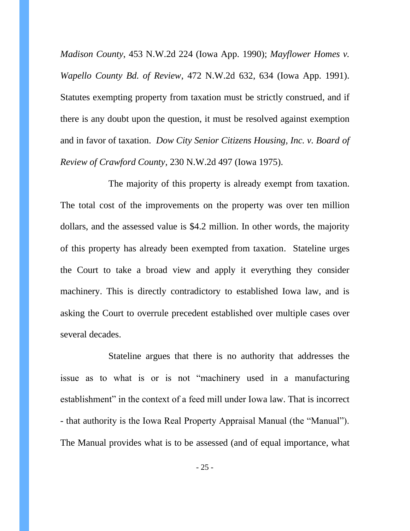*Madison County*, 453 N.W.2d 224 (Iowa App. 1990); *Mayflower Homes v. Wapello County Bd. of Review*, 472 N.W.2d 632, 634 (Iowa App. 1991). Statutes exempting property from taxation must be strictly construed, and if there is any doubt upon the question, it must be resolved against exemption and in favor of taxation. *Dow City Senior Citizens Housing, Inc. v. Board of Review of Crawford County*, 230 N.W.2d 497 (Iowa 1975).

The majority of this property is already exempt from taxation. The total cost of the improvements on the property was over ten million dollars, and the assessed value is \$4.2 million. In other words, the majority of this property has already been exempted from taxation. Stateline urges the Court to take a broad view and apply it everything they consider machinery. This is directly contradictory to established Iowa law, and is asking the Court to overrule precedent established over multiple cases over several decades.

Stateline argues that there is no authority that addresses the issue as to what is or is not "machinery used in a manufacturing establishment" in the context of a feed mill under Iowa law. That is incorrect - that authority is the Iowa Real Property Appraisal Manual (the "Manual"). The Manual provides what is to be assessed (and of equal importance, what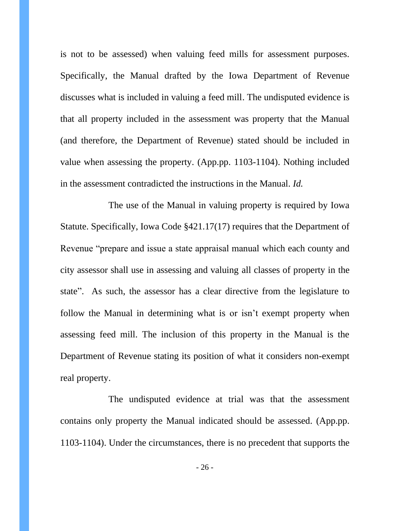is not to be assessed) when valuing feed mills for assessment purposes. Specifically, the Manual drafted by the Iowa Department of Revenue discusses what is included in valuing a feed mill. The undisputed evidence is that all property included in the assessment was property that the Manual (and therefore, the Department of Revenue) stated should be included in value when assessing the property. (App.pp. 1103-1104). Nothing included in the assessment contradicted the instructions in the Manual. *Id.* 

The use of the Manual in valuing property is required by Iowa Statute. Specifically, Iowa Code §421.17(17) requires that the Department of Revenue "prepare and issue a state appraisal manual which each county and city assessor shall use in assessing and valuing all classes of property in the state". As such, the assessor has a clear directive from the legislature to follow the Manual in determining what is or isn't exempt property when assessing feed mill. The inclusion of this property in the Manual is the Department of Revenue stating its position of what it considers non-exempt real property.

The undisputed evidence at trial was that the assessment contains only property the Manual indicated should be assessed. (App.pp. 1103-1104). Under the circumstances, there is no precedent that supports the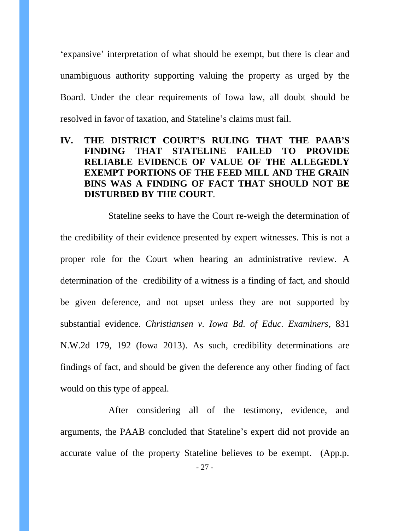'expansive' interpretation of what should be exempt, but there is clear and unambiguous authority supporting valuing the property as urged by the Board. Under the clear requirements of Iowa law, all doubt should be resolved in favor of taxation, and Stateline's claims must fail.

# **IV. THE DISTRICT COURT'S RULING THAT THE PAAB'S FINDING THAT STATELINE FAILED TO PROVIDE RELIABLE EVIDENCE OF VALUE OF THE ALLEGEDLY EXEMPT PORTIONS OF THE FEED MILL AND THE GRAIN BINS WAS A FINDING OF FACT THAT SHOULD NOT BE DISTURBED BY THE COURT**.

Stateline seeks to have the Court re-weigh the determination of the credibility of their evidence presented by expert witnesses. This is not a proper role for the Court when hearing an administrative review. A determination of the credibility of a witness is a finding of fact, and should be given deference, and not upset unless they are not supported by substantial evidence. *Christiansen v. Iowa Bd. of Educ. Examiners*, 831 N.W.2d 179, 192 (Iowa 2013). As such, credibility determinations are findings of fact, and should be given the deference any other finding of fact would on this type of appeal.

After considering all of the testimony, evidence, and arguments, the PAAB concluded that Stateline's expert did not provide an accurate value of the property Stateline believes to be exempt. (App.p.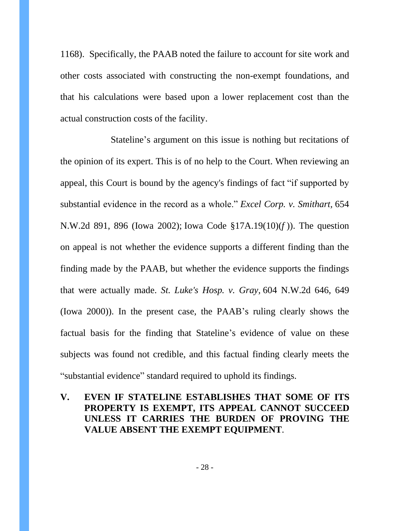1168). Specifically, the PAAB noted the failure to account for site work and other costs associated with constructing the non-exempt foundations, and that his calculations were based upon a lower replacement cost than the actual construction costs of the facility.

Stateline's argument on this issue is nothing but recitations of the opinion of its expert. This is of no help to the Court. When reviewing an appeal, this Court is bound by the agency's findings of fact "if supported by substantial evidence in the record as a whole." *Excel Corp. v. Smithart,* 654 N.W.2d 891, 896 (Iowa 2002); Iowa Code §17A.19(10)(*f* )). The question on appeal is not whether the evidence supports a different finding than the finding made by the PAAB, but whether the evidence supports the findings that were actually made. *St. Luke's Hosp. v. Gray,* 604 N.W.2d 646, 649 (Iowa 2000)). In the present case, the PAAB's ruling clearly shows the factual basis for the finding that Stateline's evidence of value on these subjects was found not credible, and this factual finding clearly meets the "substantial evidence" standard required to uphold its findings.

**V. EVEN IF STATELINE ESTABLISHES THAT SOME OF ITS PROPERTY IS EXEMPT, ITS APPEAL CANNOT SUCCEED UNLESS IT CARRIES THE BURDEN OF PROVING THE VALUE ABSENT THE EXEMPT EQUIPMENT**.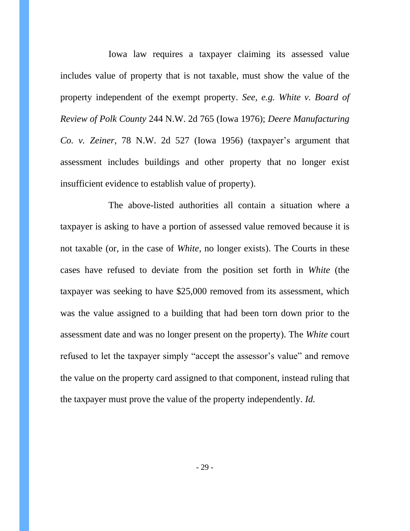Iowa law requires a taxpayer claiming its assessed value includes value of property that is not taxable, must show the value of the property independent of the exempt property. *See, e.g. White v. Board of Review of Polk County* 244 N.W. 2d 765 (Iowa 1976); *Deere Manufacturing Co. v. Zeiner*, 78 N.W. 2d 527 (Iowa 1956) (taxpayer's argument that assessment includes buildings and other property that no longer exist insufficient evidence to establish value of property).

The above-listed authorities all contain a situation where a taxpayer is asking to have a portion of assessed value removed because it is not taxable (or, in the case of *White*, no longer exists). The Courts in these cases have refused to deviate from the position set forth in *White* (the taxpayer was seeking to have \$25,000 removed from its assessment, which was the value assigned to a building that had been torn down prior to the assessment date and was no longer present on the property). The *White* court refused to let the taxpayer simply "accept the assessor's value" and remove the value on the property card assigned to that component, instead ruling that the taxpayer must prove the value of the property independently. *Id.*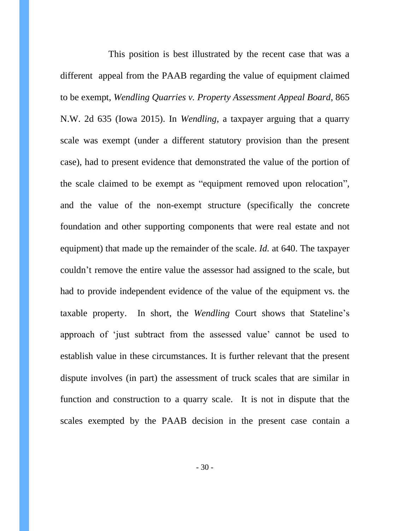This position is best illustrated by the recent case that was a different appeal from the PAAB regarding the value of equipment claimed to be exempt, *Wendling Quarries v. Property Assessment Appeal Board*, 865 N.W. 2d 635 (Iowa 2015). In *Wendling*, a taxpayer arguing that a quarry scale was exempt (under a different statutory provision than the present case), had to present evidence that demonstrated the value of the portion of the scale claimed to be exempt as "equipment removed upon relocation", and the value of the non-exempt structure (specifically the concrete foundation and other supporting components that were real estate and not equipment) that made up the remainder of the scale. *Id.* at 640. The taxpayer couldn't remove the entire value the assessor had assigned to the scale, but had to provide independent evidence of the value of the equipment vs. the taxable property. In short, the *Wendling* Court shows that Stateline's approach of 'just subtract from the assessed value' cannot be used to establish value in these circumstances. It is further relevant that the present dispute involves (in part) the assessment of truck scales that are similar in function and construction to a quarry scale. It is not in dispute that the scales exempted by the PAAB decision in the present case contain a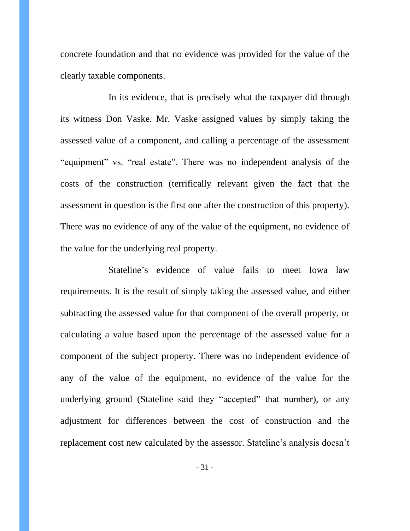concrete foundation and that no evidence was provided for the value of the clearly taxable components.

In its evidence, that is precisely what the taxpayer did through its witness Don Vaske. Mr. Vaske assigned values by simply taking the assessed value of a component, and calling a percentage of the assessment "equipment" vs. "real estate". There was no independent analysis of the costs of the construction (terrifically relevant given the fact that the assessment in question is the first one after the construction of this property). There was no evidence of any of the value of the equipment, no evidence of the value for the underlying real property.

Stateline's evidence of value fails to meet Iowa law requirements. It is the result of simply taking the assessed value, and either subtracting the assessed value for that component of the overall property, or calculating a value based upon the percentage of the assessed value for a component of the subject property. There was no independent evidence of any of the value of the equipment, no evidence of the value for the underlying ground (Stateline said they "accepted" that number), or any adjustment for differences between the cost of construction and the replacement cost new calculated by the assessor. Stateline's analysis doesn't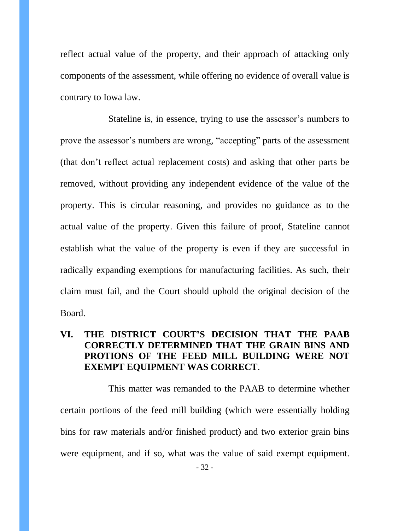reflect actual value of the property, and their approach of attacking only components of the assessment, while offering no evidence of overall value is contrary to Iowa law.

Stateline is, in essence, trying to use the assessor's numbers to prove the assessor's numbers are wrong, "accepting" parts of the assessment (that don't reflect actual replacement costs) and asking that other parts be removed, without providing any independent evidence of the value of the property. This is circular reasoning, and provides no guidance as to the actual value of the property. Given this failure of proof, Stateline cannot establish what the value of the property is even if they are successful in radically expanding exemptions for manufacturing facilities. As such, their claim must fail, and the Court should uphold the original decision of the Board.

## **VI. THE DISTRICT COURT'S DECISION THAT THE PAAB CORRECTLY DETERMINED THAT THE GRAIN BINS AND PROTIONS OF THE FEED MILL BUILDING WERE NOT EXEMPT EQUIPMENT WAS CORRECT**.

This matter was remanded to the PAAB to determine whether certain portions of the feed mill building (which were essentially holding bins for raw materials and/or finished product) and two exterior grain bins were equipment, and if so, what was the value of said exempt equipment.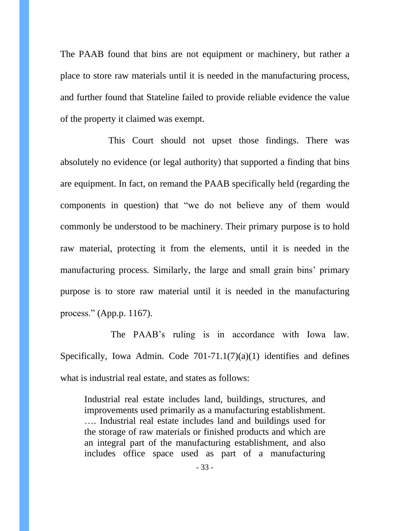The PAAB found that bins are not equipment or machinery, but rather a place to store raw materials until it is needed in the manufacturing process, and further found that Stateline failed to provide reliable evidence the value of the property it claimed was exempt.

This Court should not upset those findings. There was absolutely no evidence (or legal authority) that supported a finding that bins are equipment. In fact, on remand the PAAB specifically held (regarding the components in question) that "we do not believe any of them would commonly be understood to be machinery. Their primary purpose is to hold raw material, protecting it from the elements, until it is needed in the manufacturing process. Similarly, the large and small grain bins' primary purpose is to store raw material until it is needed in the manufacturing process." (App.p. 1167).

The PAAB's ruling is in accordance with Iowa law. Specifically, Iowa Admin. Code  $701-71.1(7)(a)(1)$  identifies and defines what is industrial real estate, and states as follows:

Industrial real estate includes land, buildings, structures, and improvements used primarily as a manufacturing establishment. …. Industrial real estate includes land and buildings used for the storage of raw materials or finished products and which are an integral part of the manufacturing establishment, and also includes office space used as part of a manufacturing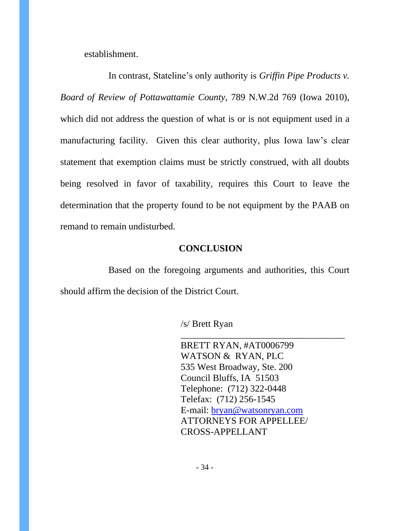establishment.

In contrast, Stateline's only authority is *Griffin Pipe Products v. Board of Review of Pottawattamie County,* 789 N.W.2d 769 (Iowa 2010), which did not address the question of what is or is not equipment used in a manufacturing facility. Given this clear authority, plus Iowa law's clear statement that exemption claims must be strictly construed, with all doubts being resolved in favor of taxability, requires this Court to leave the determination that the property found to be not equipment by the PAAB on remand to remain undisturbed.

### **CONCLUSION**

Based on the foregoing arguments and authorities, this Court should affirm the decision of the District Court.

/s/ Brett Ryan

 BRETT RYAN, #AT0006799 WATSON & RYAN, PLC 535 West Broadway, Ste. 200 Council Bluffs, IA 51503 Telephone: (712) 322-0448 Telefax: (712) 256-1545 E-mail: [bryan@watsonryan.com](mailto:bryan@cswllp.com) ATTORNEYS FOR APPELLEE/ CROSS-APPELLANT

\_\_\_\_\_\_\_\_\_\_\_\_\_\_\_\_\_\_\_\_\_\_\_\_\_\_\_\_\_\_\_\_\_\_\_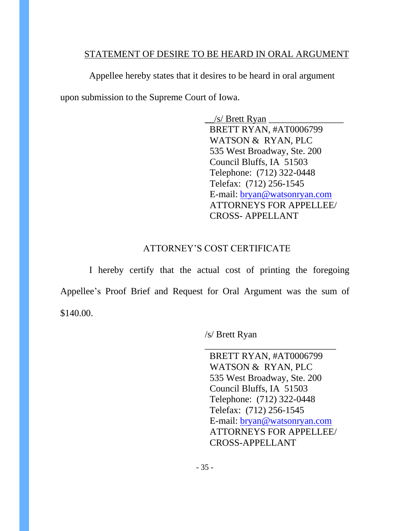### STATEMENT OF DESIRE TO BE HEARD IN ORAL ARGUMENT

Appellee hereby states that it desires to be heard in oral argument upon submission to the Supreme Court of Iowa.

> $/s/$  Brett Ryan BRETT RYAN, #AT0006799 WATSON & RYAN, PLC 535 West Broadway, Ste. 200 Council Bluffs, IA 51503 Telephone: (712) 322-0448 Telefax: (712) 256-1545 E-mail: [bryan@watsonryan.com](mailto:bryan@cswllp.com) ATTORNEYS FOR APPELLEE/ CROSS- APPELLANT

# ATTORNEY'S COST CERTIFICATE

I hereby certify that the actual cost of printing the foregoing Appellee's Proof Brief and Request for Oral Argument was the sum of \$140.00.

/s/ Brett Ryan

 BRETT RYAN, #AT0006799 WATSON & RYAN, PLC 535 West Broadway, Ste. 200 Council Bluffs, IA 51503 Telephone: (712) 322-0448 Telefax: (712) 256-1545 E-mail: [bryan@watsonryan.com](mailto:bryan@cswllp.com) ATTORNEYS FOR APPELLEE/ CROSS-APPELLANT

\_\_\_\_\_\_\_\_\_\_\_\_\_\_\_\_\_\_\_\_\_\_\_\_\_\_\_\_